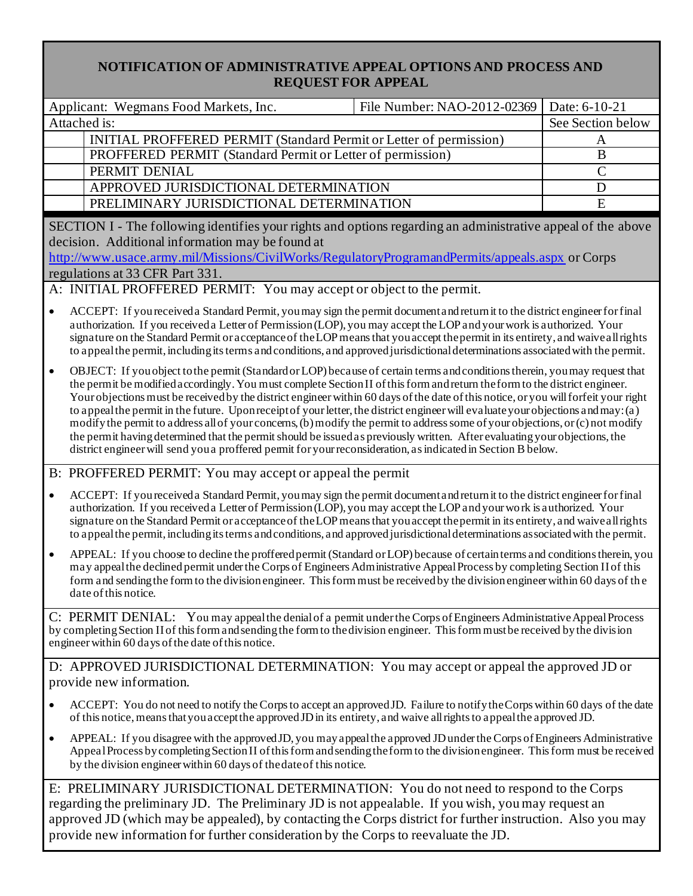## **NOTIFICATION OF ADMINISTRATIVE APPEAL OPTIONS AND PROCESS AND REQUEST FOR APPEAL**

|                                                                                                                                                                                                                                                                                                              | Applicant: Wegmans Food Markets, Inc.                                                                                                                                                                                                                                                                                                                                                                                                                                                                                                                                                                                                                                                                                                                                                                                                                                                                                   | File Number: NAO-2012-02369 | Date: 6-10-21 |  |  |
|--------------------------------------------------------------------------------------------------------------------------------------------------------------------------------------------------------------------------------------------------------------------------------------------------------------|-------------------------------------------------------------------------------------------------------------------------------------------------------------------------------------------------------------------------------------------------------------------------------------------------------------------------------------------------------------------------------------------------------------------------------------------------------------------------------------------------------------------------------------------------------------------------------------------------------------------------------------------------------------------------------------------------------------------------------------------------------------------------------------------------------------------------------------------------------------------------------------------------------------------------|-----------------------------|---------------|--|--|
|                                                                                                                                                                                                                                                                                                              | Attached is:                                                                                                                                                                                                                                                                                                                                                                                                                                                                                                                                                                                                                                                                                                                                                                                                                                                                                                            | See Section below           |               |  |  |
|                                                                                                                                                                                                                                                                                                              | INITIAL PROFFERED PERMIT (Standard Permit or Letter of permission)                                                                                                                                                                                                                                                                                                                                                                                                                                                                                                                                                                                                                                                                                                                                                                                                                                                      | A                           |               |  |  |
|                                                                                                                                                                                                                                                                                                              | PROFFERED PERMIT (Standard Permit or Letter of permission)                                                                                                                                                                                                                                                                                                                                                                                                                                                                                                                                                                                                                                                                                                                                                                                                                                                              | $\overline{B}$              |               |  |  |
| PERMIT DENIAL                                                                                                                                                                                                                                                                                                |                                                                                                                                                                                                                                                                                                                                                                                                                                                                                                                                                                                                                                                                                                                                                                                                                                                                                                                         |                             | $\mathcal{C}$ |  |  |
|                                                                                                                                                                                                                                                                                                              | APPROVED JURISDICTIONAL DETERMINATION                                                                                                                                                                                                                                                                                                                                                                                                                                                                                                                                                                                                                                                                                                                                                                                                                                                                                   |                             | D             |  |  |
|                                                                                                                                                                                                                                                                                                              | PRELIMINARY JURISDICTIONAL DETERMINATION                                                                                                                                                                                                                                                                                                                                                                                                                                                                                                                                                                                                                                                                                                                                                                                                                                                                                |                             | E             |  |  |
| SECTION I - The following identifies your rights and options regarding an administrative appeal of the above<br>decision. Additional information may be found at<br>http://www.usace.army.mil/Missions/CivilWorks/RegulatoryProgramandPermits/appeals.aspx or Corps<br>regulations at 33 CFR Part 331.       |                                                                                                                                                                                                                                                                                                                                                                                                                                                                                                                                                                                                                                                                                                                                                                                                                                                                                                                         |                             |               |  |  |
| A: INITIAL PROFFERED PERMIT: You may accept or object to the permit.                                                                                                                                                                                                                                         |                                                                                                                                                                                                                                                                                                                                                                                                                                                                                                                                                                                                                                                                                                                                                                                                                                                                                                                         |                             |               |  |  |
| $\bullet$                                                                                                                                                                                                                                                                                                    | ACCEPT: If you received a Standard Permit, you may sign the permit document and return it to the district engineer for final<br>authorization. If you received a Letter of Permission (LOP), you may accept the LOP and your work is authorized. Your<br>signature on the Standard Permit or acceptance of the LOP means that you accept the permit in its entirety, and waive all rights<br>to appeal the permit, including its terms and conditions, and approved jurisdictional determinations associated with the permit.                                                                                                                                                                                                                                                                                                                                                                                           |                             |               |  |  |
| $\bullet$                                                                                                                                                                                                                                                                                                    | OBJECT: If you object to the permit (Standard or LOP) because of certain terms and conditions therein, you may request that<br>the permit be modified accordingly. You must complete Section II of this form and return the form to the district engineer.<br>Your objections must be received by the district engineer within 60 days of the date of this notice, or you will forfeit your right<br>to appeal the permit in the future. Upon receipt of your letter, the district engineer will evaluate your objections and may: (a)<br>modify the permit to address all of your concerns, (b) modify the permit to address some of your objections, or (c) not modify<br>the permit having determined that the permit should be issued as previously written. After evaluating your objections, the<br>district engineer will send you a proffered permit for your reconsideration, as indicated in Section B below. |                             |               |  |  |
|                                                                                                                                                                                                                                                                                                              | B: PROFFERED PERMIT: You may accept or appeal the permit                                                                                                                                                                                                                                                                                                                                                                                                                                                                                                                                                                                                                                                                                                                                                                                                                                                                |                             |               |  |  |
| $\bullet$                                                                                                                                                                                                                                                                                                    | ACCEPT: If you received a Standard Permit, you may sign the permit document and return it to the district engineer for final<br>authorization. If you received a Letter of Permission (LOP), you may accept the LOP and your work is authorized. Your<br>signature on the Standard Permit or acceptance of the LOP means that you accept the permit in its entirety, and waive all rights<br>to a ppeal the permit, including its terms and conditions, and approved jurisdictional determinations as sociated with the permit.                                                                                                                                                                                                                                                                                                                                                                                         |                             |               |  |  |
| $\bullet$                                                                                                                                                                                                                                                                                                    | APPEAL: If you choose to decline the proffered permit (Standard or LOP) because of certain terms and conditions therein, you<br>may appeal the declined permit under the Corps of Engineers Administrative Appeal Process by completing Section II of this<br>form and sending the form to the division engineer. This form must be received by the division engineer within 60 days of the<br>date of this notice.                                                                                                                                                                                                                                                                                                                                                                                                                                                                                                     |                             |               |  |  |
| C: PERMIT DENIAL: You may appeal the denial of a permit under the Corps of Engineers Administrative Appeal Process<br>by completing Section II of this form and sending the form to the division engineer. This form must be received by the division<br>engineer within 60 days of the date of this notice. |                                                                                                                                                                                                                                                                                                                                                                                                                                                                                                                                                                                                                                                                                                                                                                                                                                                                                                                         |                             |               |  |  |
| D: APPROVED JURISDICTIONAL DETERMINATION: You may accept or appeal the approved JD or<br>provide new information.                                                                                                                                                                                            |                                                                                                                                                                                                                                                                                                                                                                                                                                                                                                                                                                                                                                                                                                                                                                                                                                                                                                                         |                             |               |  |  |
|                                                                                                                                                                                                                                                                                                              | ACCEPT: You do not need to notify the Corps to accept an approved JD. Failure to notify the Corps within 60 days of the date<br>of this notice, means that you accept the approved JD in its entirety, and waive all rights to appeal the approved JD.                                                                                                                                                                                                                                                                                                                                                                                                                                                                                                                                                                                                                                                                  |                             |               |  |  |
| ٠                                                                                                                                                                                                                                                                                                            | APPEAL: If you disagree with the approved JD, you may appeal the approved JD under the Corps of Engineers Administrative<br>Appeal Process by completing Section II of this form and sending the form to the division engineer. This form must be received<br>by the division engineer within 60 days of the date of this notice.                                                                                                                                                                                                                                                                                                                                                                                                                                                                                                                                                                                       |                             |               |  |  |
|                                                                                                                                                                                                                                                                                                              | E: PRELIMINARY JURISDICTIONAL DETERMINATION: You do not need to respond to the Corps                                                                                                                                                                                                                                                                                                                                                                                                                                                                                                                                                                                                                                                                                                                                                                                                                                    |                             |               |  |  |

regarding the preliminary JD. The Preliminary JD is not appealable. If you wish, you may request an approved JD (which may be appealed), by contacting the Corps district for further instruction. Also you may provide new information for further consideration by the Corps to reevaluate the JD.